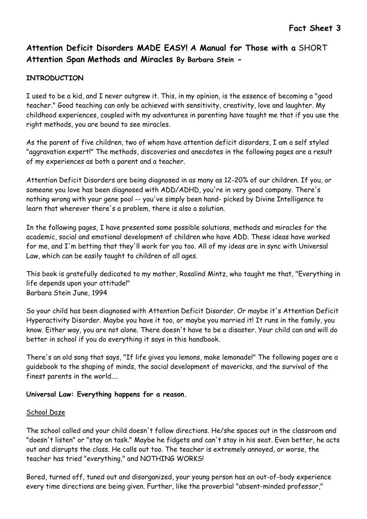## INTRODUCTION

I used to be a kid, and I never outgrew it. This, in my opinion, is the essence of becoming a "good teacher." Good teaching can only be achieved with sensitivity, creativity, love and laughter. My childhood experiences, coupled with my adventures in parenting have taught me that if you use the right methods, you are bound to see miracles.

As the parent of five children, two of whom have attention deficit disorders, I am a self styled "aggravation expert!" The methods, discoveries and anecdotes in the following pages are a result of my experiences as both a parent and a teacher.

Attention Deficit Disorders are being diagnosed in as many as 12-20% of our children. If you, or someone you love has been diagnosed with ADD/ADHD, you're in very good company. There's nothing wrong with your gene pool -- you've simply been hand- picked by Divine Intelligence to learn that wherever there's a problem, there is also a solution.

In the following pages, I have presented some possible solutions, methods and miracles for the academic, social and emotional development of children who have ADD. These ideas have worked for me, and I'm betting that they'll work for you too. All of my ideas are in sync with Universal Law, which can be easily taught to children of all ages.

This book is gratefully dedicated to my mother, Rosalind Mintz, who taught me that, "Everything in life depends upon your attitude!" Barbara Stein June, 1994

So your child has been diagnosed with Attention Deficit Disorder. Or maybe it's Attention Deficit Hyperactivity Disorder. Maybe you have it too, or maybe you married it! It runs in the family, you know. Either way, you are not alone. There doesn't have to be a disaster. Your child can and will do better in school if you do everything it says in this handbook.

There's an old song that says, "If life gives you lemons, make lemonade!" The following pages are a guidebook to the shaping of minds, the social development of mavericks, and the survival of the finest parents in the world....

## Universal Law: Everything happens for a reason.

#### School Daze

The school called and your child doesn't follow directions. He/she spaces out in the classroom and "doesn't listen" or "stay on task." Maybe he fidgets and can't stay in his seat. Even better, he acts out and disrupts the class. He calls out too. The teacher is extremely annoyed, or worse, the teacher has tried "everything," and NOTHING WORKS!

Bored, turned off, tuned out and disorganized, your young person has an out-of-body experience every time directions are being given. Further, like the proverbial "absent-minded professor,"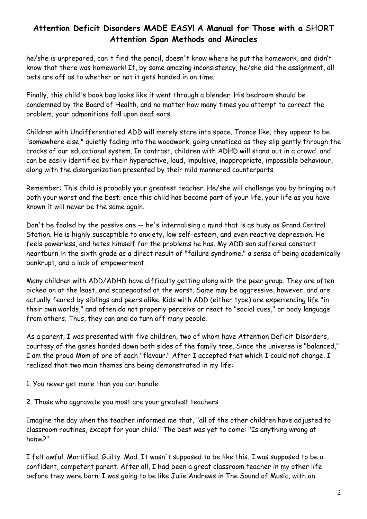he/she is unprepared, can't find the pencil, doesn't know where he put the homework, and didn't know that there was homework! If, by some amazing inconsistency, he/she did the assignment, all bets are off as to whether or not it gets handed in on time.

Finally, this child's book bag looks like it went through a blender. His bedroom should be condemned by the Board of Health, and no matter how many times you attempt to correct the problem, your admonitions fall upon deaf ears.

Children with Undifferentiated ADD will merely stare into space. Trance like, they appear to be "somewhere else," quietly fading into the woodwork, going unnoticed as they slip gently through the cracks of our educational system. In contrast, children with ADHD will stand out in a crowd, and can be easily identified by their hyperactive, loud, impulsive, inappropriate, impossible behaviour, along with the disorganization presented by their mild mannered counterparts.

Remember: This child is probably your greatest teacher. He/she will challenge you by bringing out both your worst and the best; once this child has become part of your life, your life as you have known it will never be the same again.

Don't be fooled by the passive one -- he's internalising a mind that is as busy as Grand Central Station. He is highly susceptible to anxiety, low self-esteem, and even reactive depression. He feels powerless, and hates himself for the problems he has. My ADD son suffered constant heartburn in the sixth grade as a direct result of "failure syndrome," a sense of being academically bankrupt, and a lack of empowerment.

Many children with ADD/ADHD have difficulty getting along with the peer group. They are often picked on at the least, and scapegoated at the worst. Some may be aggressive, however, and are actually feared by siblings and peers alike. Kids with ADD (either type) are experiencing life "in their own worlds," and often do not properly perceive or react to "social cues," or body language from others. Thus, they can and do turn off many people.

As a parent, I was presented with five children, two of whom have Attention Deficit Disorders, courtesy of the genes handed down both sides of the family tree. Since the universe is "balanced," I am the proud Mom of one of each "flavour." After I accepted that which I could not change, I realized that two main themes are being demonstrated in my life:

- 1. You never get more than you can handle
- 2. Those who aggravate you most are your greatest teachers

Imagine the day when the teacher informed me that, "all of the other children have adjusted to classroom routines, except for your child." The best was yet to come: "Is anything wrong at home?"

I felt awful. Mortified. Guilty. Mad. It wasn't supposed to be like this. I was supposed to be a confident, competent parent. After all, I had been a great classroom teacher in my other life before they were born! I was going to be like Julie Andrews in The Sound of Music, with an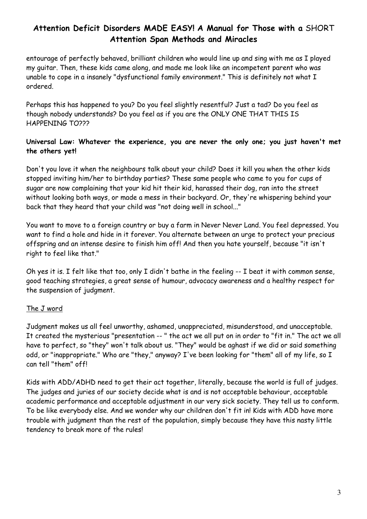entourage of perfectly behaved, brilliant children who would line up and sing with me as I played my guitar. Then, these kids came along, and made me look like an incompetent parent who was unable to cope in a insanely "dysfunctional family environment." This is definitely not what I ordered.

Perhaps this has happened to you? Do you feel slightly resentful? Just a tad? Do you feel as though nobody understands? Do you feel as if you are the ONLY ONE THAT THIS IS HAPPENING TO???

## Universal Law: Whatever the experience, you are never the only one; you just haven't met the others yet!

Don't you love it when the neighbours talk about your child? Does it kill you when the other kids stopped inviting him/her to birthday parties? These same people who came to you for cups of sugar are now complaining that your kid hit their kid, harassed their dog, ran into the street without looking both ways, or made a mess in their backyard. Or, they're whispering behind your back that they heard that your child was "not doing well in school..."

You want to move to a foreign country or buy a farm in Never Never Land. You feel depressed. You want to find a hole and hide in it forever. You alternate between an urge to protect your precious offspring and an intense desire to finish him off! And then you hate yourself, because "it isn't right to feel like that."

Oh yes it is. I felt like that too, only I didn't bathe in the feeling -- I beat it with common sense, good teaching strategies, a great sense of humour, advocacy awareness and a healthy respect for the suspension of judgment.

## The J word

Judgment makes us all feel unworthy, ashamed, unappreciated, misunderstood, and unacceptable. It created the mysterious "presentation -- " the act we all put on in order to "fit in." The act we all have to perfect, so "they" won't talk about us. "They" would be aghast if we did or said something odd, or "inappropriate." Who are "they," anyway? I've been looking for "them" all of my life, so I can tell "them" off!

Kids with ADD/ADHD need to get their act together, literally, because the world is full of judges. The judges and juries of our society decide what is and is not acceptable behaviour, acceptable academic performance and acceptable adjustment in our very sick society. They tell us to conform. To be like everybody else. And we wonder why our children don't fit in! Kids with ADD have more trouble with judgment than the rest of the population, simply because they have this nasty little tendency to break more of the rules!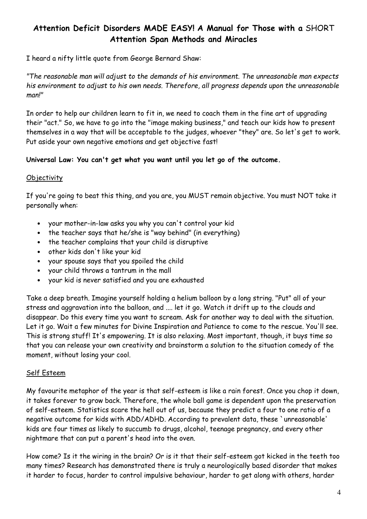I heard a nifty little quote from George Bernard Shaw:

"The reasonable man will adjust to the demands of his environment. The unreasonable man expects his environment to adjust to his own needs. Therefore, all progress depends upon the unreasonable man!"

In order to help our children learn to fit in, we need to coach them in the fine art of upgrading their "act." So, we have to go into the "image making business," and teach our kids how to present themselves in a way that will be acceptable to the judges, whoever "they" are. So let's get to work. Put aside your own negative emotions and get objective fast!

### Universal Law: You can't get what you want until you let go of the outcome.

### **Objectivity**

If you're going to beat this thing, and you are, you MUST remain objective. You must NOT take it personally when:

- your mother-in-law asks you why you can't control your kid
- the teacher says that he/she is "way behind" (in everything)
- the teacher complains that your child is disruptive
- other kids don't like your kid
- your spouse says that you spoiled the child
- your child throws a tantrum in the mall
- your kid is never satisfied and you are exhausted

Take a deep breath. Imagine yourself holding a helium balloon by a long string. "Put" all of your stress and aggravation into the balloon, and .... let it go. Watch it drift up to the clouds and disappear. Do this every time you want to scream. Ask for another way to deal with the situation. Let it go. Wait a few minutes for Divine Inspiration and Patience to come to the rescue. You'll see. This is strong stuff! It's empowering. It is also relaxing. Most important, though, it buys time so that you can release your own creativity and brainstorm a solution to the situation comedy of the moment, without losing your cool.

#### Self Esteem

My favourite metaphor of the year is that self-esteem is like a rain forest. Once you chop it down, it takes forever to grow back. Therefore, the whole ball game is dependent upon the preservation of self-esteem. Statistics scare the hell out of us, because they predict a four to one ratio of a negative outcome for kids with ADD/ADHD. According to prevalent data, these `unreasonable' kids are four times as likely to succumb to drugs, alcohol, teenage pregnancy, and every other nightmare that can put a parent's head into the oven.

How come? Is it the wiring in the brain? Or is it that their self-esteem got kicked in the teeth too many times? Research has demonstrated there is truly a neurologically based disorder that makes it harder to focus, harder to control impulsive behaviour, harder to get along with others, harder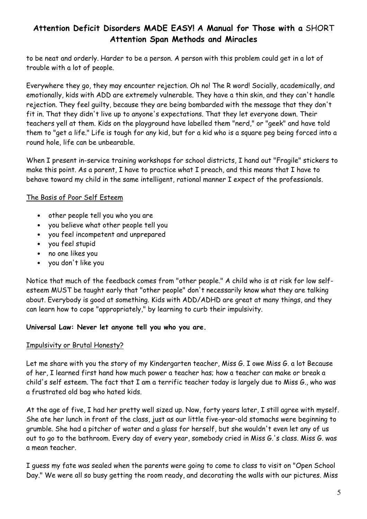to be neat and orderly. Harder to be a person. A person with this problem could get in a lot of trouble with a lot of people.

Everywhere they go, they may encounter rejection. Oh no! The R word! Socially, academically, and emotionally, kids with ADD are extremely vulnerable. They have a thin skin, and they can't handle rejection. They feel guilty, because they are being bombarded with the message that they don't fit in. That they didn't live up to anyone's expectations. That they let everyone down. Their teachers yell at them. Kids on the playground have labelled them "nerd," or "geek" and have told them to "get a life." Life is tough for any kid, but for a kid who is a square peg being forced into a round hole, life can be unbearable.

When I present in-service training workshops for school districts, I hand out "Fragile" stickers to make this point. As a parent, I have to practice what I preach, and this means that I have to behave toward my child in the same intelligent, rational manner I expect of the professionals.

## The Basis of Poor Self Esteem

- other people tell you who you are
- you believe what other people tell you
- you feel incompetent and unprepared
- you feel stupid
- no one likes you
- you don't like you

Notice that much of the feedback comes from "other people." A child who is at risk for low selfesteem MUST be taught early that "other people" don't necessarily know what they are talking about. Everybody is good at something. Kids with ADD/ADHD are great at many things, and they can learn how to cope "appropriately," by learning to curb their impulsivity.

## Universal Law: Never let anyone tell you who you are.

## Impulsivity or Brutal Honesty?

Let me share with you the story of my Kindergarten teacher, Miss G. I owe Miss G. a lot Because of her, I learned first hand how much power a teacher has; how a teacher can make or break a child's self esteem. The fact that I am a terrific teacher today is largely due to Miss G., who was a frustrated old bag who hated kids.

At the age of five, I had her pretty well sized up. Now, forty years later, I still agree with myself. She ate her lunch in front of the class, just as our little five-year-old stomachs were beginning to grumble. She had a pitcher of water and a glass for herself, but she wouldn't even let any of us out to go to the bathroom. Every day of every year, somebody cried in Miss G.'s class. Miss G. was a mean teacher.

I guess my fate was sealed when the parents were going to come to class to visit on "Open School Day." We were all so busy getting the room ready, and decorating the walls with our pictures. Miss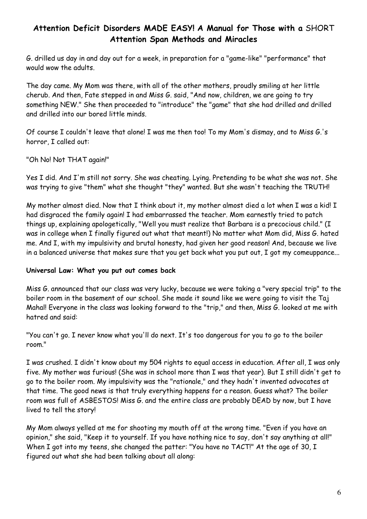G. drilled us day in and day out for a week, in preparation for a "game-like" "performance" that would wow the adults.

The day came. My Mom was there, with all of the other mothers, proudly smiling at her little cherub. And then, Fate stepped in and Miss G. said, "And now, children, we are going to try something NEW." She then proceeded to "introduce" the "game" that she had drilled and drilled and drilled into our bored little minds.

Of course I couldn't leave that alone! I was me then too! To my Mom's dismay, and to Miss G.'s horror, I called out:

"Oh No! Not THAT again!"

Yes I did. And I'm still not sorry. She was cheating. Lying. Pretending to be what she was not. She was trying to give "them" what she thought "they" wanted. But she wasn't teaching the TRUTH!

My mother almost died. Now that I think about it, my mother almost died a lot when I was a kid! I had disgraced the family again! I had embarrassed the teacher. Mom earnestly tried to patch things up, explaining apologetically, "Well you must realize that Barbara is a precocious child." (I was in college when I finally figured out what that meant!) No matter what Mom did, Miss G. hated me. And I, with my impulsivity and brutal honesty, had given her good reason! And, because we live in a balanced universe that makes sure that you get back what you put out, I got my comeuppance...

#### Universal Law: What you put out comes back

Miss G. announced that our class was very lucky, because we were taking a "very special trip" to the boiler room in the basement of our school. She made it sound like we were going to visit the Taj Mahal! Everyone in the class was looking forward to the "trip," and then, Miss G. looked at me with hatred and said:

"You can't go. I never know what you'll do next. It's too dangerous for you to go to the boiler room."

I was crushed. I didn't know about my 504 rights to equal access in education. After all, I was only five. My mother was furious! (She was in school more than I was that year). But I still didn't get to go to the boiler room. My impulsivity was the "rationale," and they hadn't invented advocates at that time. The good news is that truly everything happens for a reason. Guess what? The boiler room was full of ASBESTOS! Miss G. and the entire class are probably DEAD by now, but I have lived to tell the story!

My Mom always yelled at me for shooting my mouth off at the wrong time. "Even if you have an opinion," she said, "Keep it to yourself. If you have nothing nice to say, don't say anything at all!" When I got into my teens, she changed the patter: "You have no TACT!" At the age of 30, I figured out what she had been talking about all along: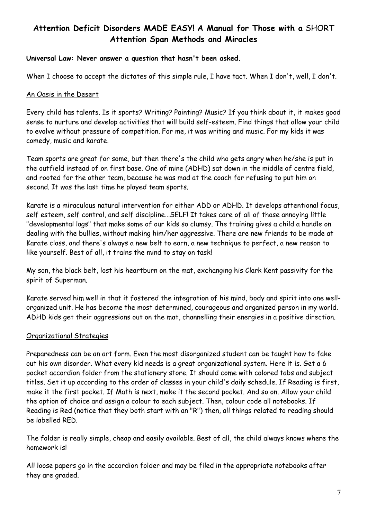#### Universal Law: Never answer a question that hasn't been asked.

When I choose to accept the dictates of this simple rule, I have tact. When I don't, well, I don't.

#### An Oasis in the Desert

Every child has talents. Is it sports? Writing? Painting? Music? If you think about it, it makes good sense to nurture and develop activities that will build self-esteem. Find things that allow your child to evolve without pressure of competition. For me, it was writing and music. For my kids it was comedy, music and karate.

Team sports are great for some, but then there's the child who gets angry when he/she is put in the outfield instead of on first base. One of mine (ADHD) sat down in the middle of centre field, and rooted for the other team, because he was mad at the coach for refusing to put him on second. It was the last time he played team sports.

Karate is a miraculous natural intervention for either ADD or ADHD. It develops attentional focus, self esteem, self control, and self discipline...SELF! It takes care of all of those annoying little "developmental lags" that make some of our kids so clumsy. The training gives a child a handle on dealing with the bullies, without making him/her aggressive. There are new friends to be made at Karate class, and there's always a new belt to earn, a new technique to perfect, a new reason to like yourself. Best of all, it trains the mind to stay on task!

My son, the black belt, lost his heartburn on the mat, exchanging his Clark Kent passivity for the spirit of Superman.

Karate served him well in that it fostered the integration of his mind, body and spirit into one wellorganized unit. He has become the most determined, courageous and organized person in my world. ADHD kids get their aggressions out on the mat, channelling their energies in a positive direction.

#### Organizational Strategies

Preparedness can be an art form. Even the most disorganized student can be taught how to fake out his own disorder. What every kid needs is a great organizational system. Here it is. Get a 6 pocket accordion folder from the stationery store. It should come with colored tabs and subject titles. Set it up according to the order of classes in your child's daily schedule. If Reading is first, make it the first pocket. If Math is next, make it the second pocket. And so on. Allow your child the option of choice and assign a colour to each subject. Then, colour code all notebooks. If Reading is Red (notice that they both start with an "R") then, all things related to reading should be labelled RED.

The folder is really simple, cheap and easily available. Best of all, the child always knows where the homework is!

All loose papers go in the accordion folder and may be filed in the appropriate notebooks after they are graded.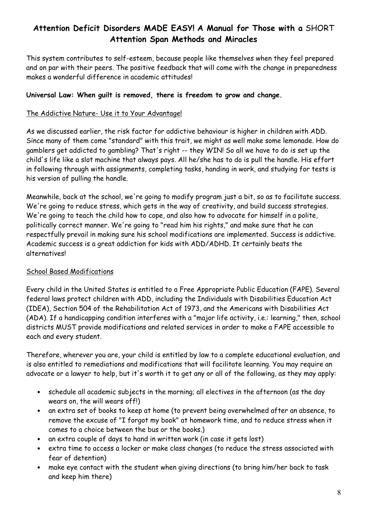This system contributes to self-esteem, because people like themselves when they feel prepared and on par with their peers. The positive feedback that will come with the change in preparedness makes a wonderful difference in academic attitudes!

### Universal Law: When guilt is removed, there is freedom to grow and change.

### The Addictive Nature- Use it to Your Advantage!

As we discussed earlier, the risk factor for addictive behaviour is higher in children with ADD. Since many of them come "standard" with this trait, we might as well make some lemonade. How do gamblers get addicted to gambling? That's right -- they WIN! So all we have to do is set up the child's life like a slot machine that always pays. All he/she has to do is pull the handle. His effort in following through with assignments, completing tasks, handing in work, and studying for tests is his version of pulling the handle.

Meanwhile, back at the school, we're going to modify program just a bit, so as to facilitate success. We're going to reduce stress, which gets in the way of creativity, and build success strategies. We're going to teach the child how to cope, and also how to advocate for himself in a polite, politically correct manner. We're going to "read him his rights," and make sure that he can respectfully prevail in making sure his school modifications are implemented. Success is addictive. Academic success is a great addiction for kids with ADD/ADHD. It certainly beats the alternatives!

#### School Based Modifications

Every child in the United States is entitled to a Free Appropriate Public Education (FAPE). Several federal laws protect children with ADD, including the Individuals with Disabilities Education Act (IDEA), Section 504 of the Rehabilitation Act of 1973, and the Americans with Disabilities Act (ADA). If a handicapping condition interferes with a "major life activity, i.e.: learning," then, school districts MUST provide modifications and related services in order to make a FAPE accessible to each and every student.

Therefore, wherever you are, your child is entitled by law to a complete educational evaluation, and is also entitled to remediations and modifications that will facilitate learning. You may require an advocate or a lawyer to help, but it's worth it to get any or all of the following, as they may apply:

- schedule all academic subjects in the morning; all electives in the afternoon (as the day wears on, the will wears off!)
- an extra set of books to keep at home (to prevent being overwhelmed after an absence, to remove the excuse of "I forgot my book" at homework time, and to reduce stress when it comes to a choice between the bus or the books.)
- an extra couple of days to hand in written work (in case it gets lost)
- extra time to access a locker or make class changes (to reduce the stress associated with fear of detention)
- make eye contact with the student when giving directions (to bring him/her back to task and keep him there)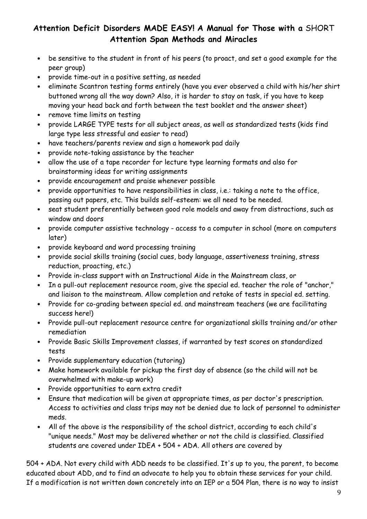- be sensitive to the student in front of his peers (to proact, and set a good example for the peer group)
- provide time-out in a positive setting, as needed
- eliminate Scantron testing forms entirely (have you ever observed a child with his/her shirt buttoned wrong all the way down? Also, it is harder to stay on task, if you have to keep moving your head back and forth between the test booklet and the answer sheet)
- remove time limits on testing
- provide LARGE TYPE tests for all subject areas, as well as standardized tests (kids find large type less stressful and easier to read)
- have teachers/parents review and sign a homework pad daily
- provide note-taking assistance by the teacher
- allow the use of a tape recorder for lecture type learning formats and also for brainstorming ideas for writing assignments
- provide encouragement and praise whenever possible
- provide opportunities to have responsibilities in class, i.e.: taking a note to the office, passing out papers, etc. This builds self-esteem: we all need to be needed.
- seat student preferentially between good role models and away from distractions, such as window and doors
- provide computer assistive technology access to a computer in school (more on computers later)
- provide keyboard and word processing training
- provide social skills training (social cues, body language, assertiveness training, stress reduction, proacting, etc.)
- Provide in-class support with an Instructional Aide in the Mainstream class, or
- In a pull-out replacement resource room, give the special ed. teacher the role of "anchor," and liaison to the mainstream. Allow completion and retake of tests in special ed. setting.
- Provide for co-grading between special ed. and mainstream teachers (we are facilitating success here!)
- Provide pull-out replacement resource centre for organizational skills training and/or other remediation
- Provide Basic Skills Improvement classes, if warranted by test scores on standardized tests
- Provide supplementary education (tutoring)
- Make homework available for pickup the first day of absence (so the child will not be overwhelmed with make-up work)
- Provide opportunities to earn extra credit
- Ensure that medication will be given at appropriate times, as per doctor's prescription. Access to activities and class trips may not be denied due to lack of personnel to administer meds.
- All of the above is the responsibility of the school district, according to each child's "unique needs." Most may be delivered whether or not the child is classified. Classified students are covered under IDEA + 504 + ADA. All others are covered by

504 + ADA. Not every child with ADD needs to be classified. It's up to you, the parent, to become educated about ADD, and to find an advocate to help you to obtain these services for your child. If a modification is not written down concretely into an IEP or a 504 Plan, there is no way to insist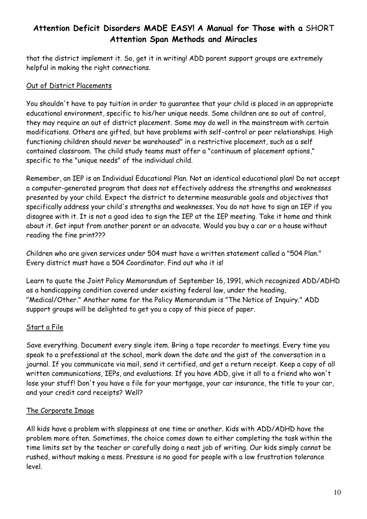that the district implement it. So, get it in writing! ADD parent support groups are extremely helpful in making the right connections.

## Out of District Placements

You shouldn't have to pay tuition in order to guarantee that your child is placed in an appropriate educational environment, specific to his/her unique needs. Some children are so out of control, they may require an out of district placement. Some may do well in the mainstream with certain modifications. Others are gifted, but have problems with self-control or peer relationships. High functioning children should never be warehoused" in a restrictive placement, such as a self contained classroom. The child study teams must offer a "continuum of placement options," specific to the "unique needs" of the individual child.

Remember, an IEP is an Individual Educational Plan. Not an identical educational plan! Do not accept a computer-generated program that does not effectively address the strengths and weaknesses presented by your child. Expect the district to determine measurable goals and objectives that specifically address your child's strengths and weaknesses. You do not have to sign an IEP if you disagree with it. It is not a good idea to sign the IEP at the IEP meeting. Take it home and think about it. Get input from another parent or an advocate. Would you buy a car or a house without reading the fine print???

Children who are given services under 504 must have a written statement called a "504 Plan." Every district must have a 504 Coordinator. Find out who it is!

Learn to quote the Joint Policy Memorandum of September 16, 1991, which recognized ADD/ADHD as a handicapping condition covered under existing federal law, under the heading, "Medical/Other." Another name for the Policy Memorandum is "The Notice of Inquiry." ADD support groups will be delighted to get you a copy of this piece of paper.

## Start a File

Save everything. Document every single item. Bring a tape recorder to meetings. Every time you speak to a professional at the school, mark down the date and the gist of the conversation in a journal. If you communicate via mail, send it certified, and get a return receipt. Keep a copy of all written communications, IEPs, and evaluations. If you have ADD, give it all to a friend who won't lose your stuff! Don't you have a file for your mortgage, your car insurance, the title to your car, and your credit card receipts? Well?

## The Corporate Image

All kids have a problem with sloppiness at one time or another. Kids with ADD/ADHD have the problem more often. Sometimes, the choice comes down to either completing the task within the time limits set by the teacher or carefully doing a neat job of writing. Our kids simply cannot be rushed, without making a mess. Pressure is no good for people with a low frustration tolerance level.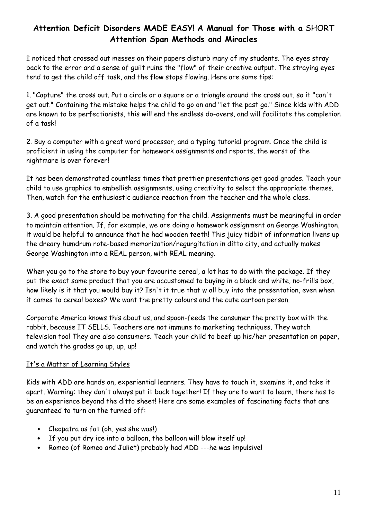I noticed that crossed out messes on their papers disturb many of my students. The eyes stray back to the error and a sense of guilt ruins the "flow" of their creative output. The straying eyes tend to get the child off task, and the flow stops flowing. Here are some tips:

1. "Capture" the cross out. Put a circle or a square or a triangle around the cross out, so it "can't get out." Containing the mistake helps the child to go on and "let the past go." Since kids with ADD are known to be perfectionists, this will end the endless do-overs, and will facilitate the completion of a task!

2. Buy a computer with a great word processor, and a typing tutorial program. Once the child is proficient in using the computer for homework assignments and reports, the worst of the nightmare is over forever!

It has been demonstrated countless times that prettier presentations get good grades. Teach your child to use graphics to embellish assignments, using creativity to select the appropriate themes. Then, watch for the enthusiastic audience reaction from the teacher and the whole class.

3. A good presentation should be motivating for the child. Assignments must be meaningful in order to maintain attention. If, for example, we are doing a homework assignment on George Washington, it would be helpful to announce that he had wooden teeth! This juicy tidbit of information livens up the dreary humdrum rote-based memorization/regurgitation in ditto city, and actually makes George Washington into a REAL person, with REAL meaning.

When you go to the store to buy your favourite cereal, a lot has to do with the package. If they put the exact same product that you are accustomed to buying in a black and white, no-frills box, how likely is it that you would buy it? Isn't it true that w all buy into the presentation, even when it comes to cereal boxes? We want the pretty colours and the cute cartoon person.

Corporate America knows this about us, and spoon-feeds the consumer the pretty box with the rabbit, because IT SELLS. Teachers are not immune to marketing techniques. They watch television too! They are also consumers. Teach your child to beef up his/her presentation on paper, and watch the grades go up, up, up!

## It's a Matter of Learning Styles

Kids with ADD are hands on, experiential learners. They have to touch it, examine it, and take it apart. Warning: they don't always put it back together! If they are to want to learn, there has to be an experience beyond the ditto sheet! Here are some examples of fascinating facts that are guaranteed to turn on the turned off:

- Cleopatra as fat (oh, yes she was!)
- If you put dry ice into a balloon, the balloon will blow itself up!
- Romeo (of Romeo and Juliet) probably had ADD ---he was impulsive!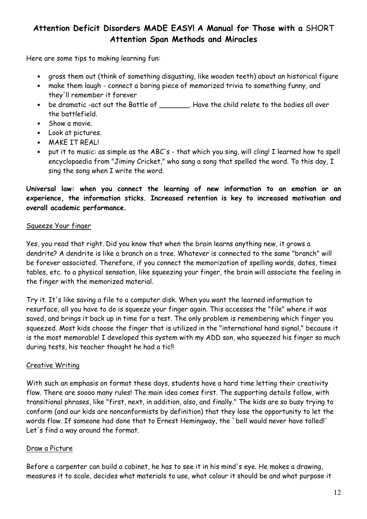Here are some tips to making learning fun:

- gross them out (think of something disgusting, like wooden teeth) about an historical figure
- make them laugh connect a boring piece of memorized trivia to something funny, and they'll remember it forever
- be dramatic -act out the Battle of \_\_\_\_\_\_\_. Have the child relate to the bodies all over the battlefield.
- Show a movie.
- Look at pictures.
- MAKE IT REAL!
- put it to music: as simple as the ABC's that which you sing, will cling! I learned how to spell encyclopaedia from "Jiminy Cricket," who sang a song that spelled the word. To this day, I sing the song when I write the word.

Universal law: when you connect the learning of new information to an emotion or an experience, the information sticks. Increased retention is key to increased motivation and overall academic performance.

### Squeeze Your finger

Yes, you read that right. Did you know that when the brain learns anything new, it grows a dendrite? A dendrite is like a branch on a tree. Whatever is connected to the same "branch" will be forever associated. Therefore, if you connect the memorization of spelling words, dates, times tables, etc. to a physical sensation, like squeezing your finger, the brain will associate the feeling in the finger with the memorized material.

Try it. It's like saving a file to a computer disk. When you want the learned information to resurface, all you have to do is squeeze your finger again. This accesses the "file" where it was saved, and brings it back up in time for a test. The only problem is remembering which finger you squeezed. Most kids choose the finger that is utilized in the "international hand signal," because it is the most memorable! I developed this system with my ADD son, who squeezed his finger so much during tests, his teacher thought he had a tic!!

#### Creative Writing

With such an emphasis on format these days, students have a hard time letting their creativity flow. There are soooo many rules! The main idea comes first. The supporting details follow, with transitional phrases, like "first, next, in addition, also, and finally." The kids are so busy trying to conform (and our kids are nonconformists by definition) that they lose the opportunity to let the words flow. If someone had done that to Ernest Hemingway, the `bell would never have tolled!' Let's find a way around the format.

#### Draw a Picture

Before a carpenter can build a cabinet, he has to see it in his mind's eye. He makes a drawing, measures it to scale, decides what materials to use, what colour it should be and what purpose it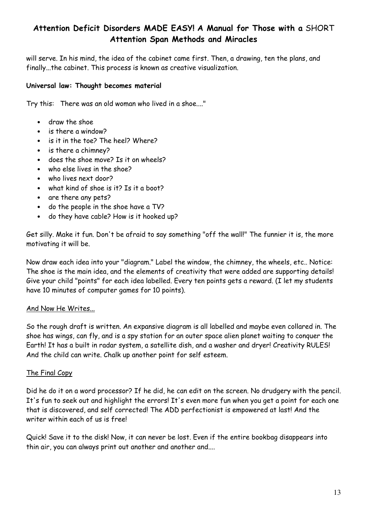will serve. In his mind, the idea of the cabinet came first. Then, a drawing, ten the plans, and finally...the cabinet. This process is known as creative visualization.

### Universal law: Thought becomes material

Try this: There was an old woman who lived in a shoe...."

- draw the shoe
- is there a window?
- is it in the toe? The heel? Where?
- is there a chimney?
- does the shoe move? Is it on wheels?
- who else lives in the shoe?
- who lives next door?
- what kind of shoe is it? Is it a boot?
- are there any pets?
- do the people in the shoe have a TV?
- do they have cable? How is it hooked up?

Get silly. Make it fun. Don't be afraid to say something "off the wall!" The funnier it is, the more motivating it will be.

Now draw each idea into your "diagram." Label the window, the chimney, the wheels, etc.. Notice: The shoe is the main idea, and the elements of creativity that were added are supporting details! Give your child "points" for each idea labelled. Every ten points gets a reward. (I let my students have 10 minutes of computer games for 10 points).

#### And Now He Writes...

So the rough draft is written. An expansive diagram is all labelled and maybe even collared in. The shoe has wings, can fly, and is a spy station for an outer space alien planet waiting to conquer the Earth! It has a built in radar system, a satellite dish, and a washer and dryer! Creativity RULES! And the child can write. Chalk up another point for self esteem.

#### The Final Copy

Did he do it on a word processor? If he did, he can edit on the screen. No drudgery with the pencil. It's fun to seek out and highlight the errors! It's even more fun when you get a point for each one that is discovered, and self corrected! The ADD perfectionist is empowered at last! And the writer within each of us is free!

Quick! Save it to the disk! Now, it can never be lost. Even if the entire bookbag disappears into thin air, you can always print out another and another and....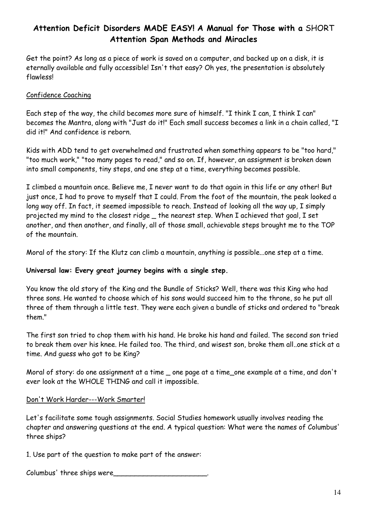Get the point? As long as a piece of work is saved on a computer, and backed up on a disk, it is eternally available and fully accessible! Isn't that easy? Oh yes, the presentation is absolutely flawless!

### Confidence Coaching

Each step of the way, the child becomes more sure of himself. "I think I can, I think I can" becomes the Mantra, along with "Just do it!" Each small success becomes a link in a chain called, "I did it!" And confidence is reborn.

Kids with ADD tend to get overwhelmed and frustrated when something appears to be "too hard," "too much work," "too many pages to read," and so on. If, however, an assignment is broken down into small components, tiny steps, and one step at a time, everything becomes possible.

I climbed a mountain once. Believe me, I never want to do that again in this life or any other! But just once, I had to prove to myself that I could. From the foot of the mountain, the peak looked a long way off. In fact, it seemed impossible to reach. Instead of looking all the way up, I simply projected my mind to the closest ridge \_ the nearest step. When I achieved that goal, I set another, and then another, and finally, all of those small, achievable steps brought me to the TOP of the mountain.

Moral of the story: If the Klutz can climb a mountain, anything is possible...one step at a time.

#### Universal law: Every great journey begins with a single step.

You know the old story of the King and the Bundle of Sticks? Well, there was this King who had three sons. He wanted to choose which of his sons would succeed him to the throne, so he put all three of them through a little test. They were each given a bundle of sticks and ordered to "break them"

The first son tried to chop them with his hand. He broke his hand and failed. The second son tried to break them over his knee. He failed too. The third, and wisest son, broke them all..one stick at a time. And guess who got to be King?

Moral of story: do one assignment at a time \_ one page at a time\_one example at a time, and don't ever look at the WHOLE THING and call it impossible.

#### Don't Work Harder---Work Smarter!

Let's facilitate some tough assignments. Social Studies homework usually involves reading the chapter and answering questions at the end. A typical question: What were the names of Columbus' three ships?

1. Use part of the question to make part of the answer:

Columbus' three ships were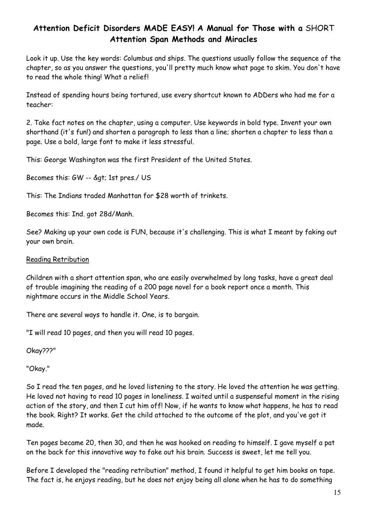Look it up. Use the key words: Columbus and ships. The questions usually follow the sequence of the chapter, so as you answer the questions, you'll pretty much know what page to skim. You don't have to read the whole thing! What a relief!

Instead of spending hours being tortured, use every shortcut known to ADDers who had me for a teacher:

2. Take fact notes on the chapter, using a computer. Use keywords in bold type. Invent your own shorthand (it's fun!) and shorten a paragraph to less than a line; shorten a chapter to less than a page. Use a bold, large font to make it less stressful.

This: George Washington was the first President of the United States.

Becomes this: GW -- > 1st pres./ US

This: The Indians traded Manhattan for \$28 worth of trinkets.

Becomes this: Ind. got 28d/Manh.

See? Making up your own code is FUN, because it's challenging. This is what I meant by faking out your own brain.

#### Reading Retribution

Children with a short attention span, who are easily overwhelmed by long tasks, have a great deal of trouble imagining the reading of a 200 page novel for a book report once a month. This nightmare occurs in the Middle School Years.

There are several ways to handle it. One, is to bargain.

"I will read 10 pages, and then you will read 10 pages.

Okay???"

"Okay."

So I read the ten pages, and he loved listening to the story. He loved the attention he was getting. He loved not having to read 10 pages in loneliness. I waited until a suspenseful moment in the rising action of the story, and then I cut him off! Now, if he wants to know what happens, he has to read the book. Right? It works. Get the child attached to the outcome of the plot, and you've got it made.

Ten pages became 20, then 30, and then he was hooked on reading to himself. I gave myself a pat on the back for this innovative way to fake out his brain. Success is sweet, let me tell you.

Before I developed the "reading retribution" method, I found it helpful to get him books on tape. The fact is, he enjoys reading, but he does not enjoy being all alone when he has to do something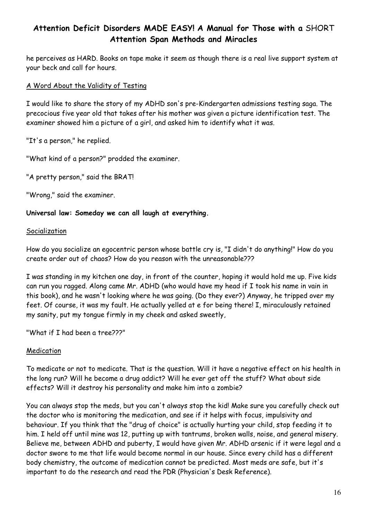he perceives as HARD. Books on tape make it seem as though there is a real live support system at your beck and call for hours.

## A Word About the Validity of Testing

I would like to share the story of my ADHD son's pre-Kindergarten admissions testing saga. The precocious five year old that takes after his mother was given a picture identification test. The examiner showed him a picture of a girl, and asked him to identify what it was.

"It's a person," he replied.

"What kind of a person?" prodded the examiner.

"A pretty person," said the BRAT!

"Wrong," said the examiner.

### Universal law: Someday we can all laugh at everything.

#### **Socialization**

How do you socialize an egocentric person whose battle cry is, "I didn't do anything!" How do you create order out of chaos? How do you reason with the unreasonable???

I was standing in my kitchen one day, in front of the counter, hoping it would hold me up. Five kids can run you ragged. Along came Mr. ADHD (who would have my head if I took his name in vain in this book), and he wasn't looking where he was going. (Do they ever?) Anyway, he tripped over my feet. Of course, it was my fault. He actually yelled at e for being there! I, miraculously retained my sanity, put my tongue firmly in my cheek and asked sweetly,

"What if I had been a tree???"

#### Medication

To medicate or not to medicate. That is the question. Will it have a negative effect on his health in the long run? Will he become a drug addict? Will he ever get off the stuff? What about side effects? Will it destroy his personality and make him into a zombie?

You can always stop the meds, but you can't always stop the kid! Make sure you carefully check out the doctor who is monitoring the medication, and see if it helps with focus, impulsivity and behaviour. If you think that the "drug of choice" is actually hurting your child, stop feeding it to him. I held off until mine was 12, putting up with tantrums, broken walls, noise, and general misery. Believe me, between ADHD and puberty, I would have given Mr. ADHD arsenic if it were legal and a doctor swore to me that life would become normal in our house. Since every child has a different body chemistry, the outcome of medication cannot be predicted. Most meds are safe, but it's important to do the research and read the PDR (Physician's Desk Reference).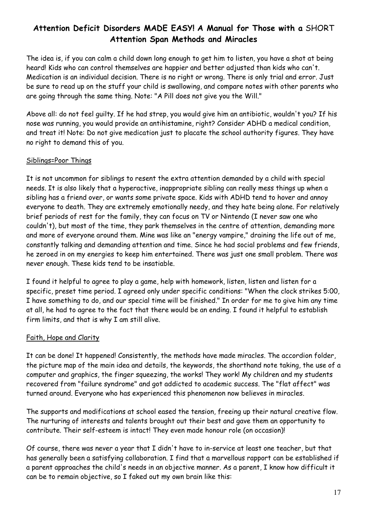The idea is, if you can calm a child down long enough to get him to listen, you have a shot at being heard! Kids who can control themselves are happier and better adjusted than kids who can't. Medication is an individual decision. There is no right or wrong. There is only trial and error. Just be sure to read up on the stuff your child is swallowing, and compare notes with other parents who are going through the same thing. Note: "A Pill does not give you the Will."

Above all: do not feel guilty. If he had strep, you would give him an antibiotic, wouldn't you? If his nose was running, you would provide an antihistamine, right? Consider ADHD a medical condition, and treat it! Note: Do not give medication just to placate the school authority figures. They have no right to demand this of you.

## Siblings=Poor Things

It is not uncommon for siblings to resent the extra attention demanded by a child with special needs. It is also likely that a hyperactive, inappropriate sibling can really mess things up when a sibling has a friend over, or wants some private space. Kids with ADHD tend to hover and annoy everyone to death. They are extremely emotionally needy, and they hate being alone. For relatively brief periods of rest for the family, they can focus on TV or Nintendo (I never saw one who couldn't), but most of the time, they park themselves in the centre of attention, demanding more and more of everyone around them. Mine was like an "energy vampire," draining the life out of me, constantly talking and demanding attention and time. Since he had social problems and few friends, he zeroed in on my energies to keep him entertained. There was just one small problem. There was never enough. These kids tend to be insatiable.

I found it helpful to agree to play a game, help with homework, listen, listen and listen for a specific, preset time period. I agreed only under specific conditions: "When the clock strikes 5:00, I have something to do, and our special time will be finished." In order for me to give him any time at all, he had to agree to the fact that there would be an ending. I found it helpful to establish firm limits, and that is why I am still alive.

## Faith, Hope and Clarity

It can be done! It happened! Consistently, the methods have made miracles. The accordion folder, the picture map of the main idea and details, the keywords, the shorthand note taking, the use of a computer and graphics, the finger squeezing, the works! They work! My children and my students recovered from "failure syndrome" and got addicted to academic success. The "flat affect" was turned around. Everyone who has experienced this phenomenon now believes in miracles.

The supports and modifications at school eased the tension, freeing up their natural creative flow. The nurturing of interests and talents brought out their best and gave them an opportunity to contribute. Their self-esteem is intact! They even made honour role (on occasion)!

Of course, there was never a year that I didn't have to in-service at least one teacher, but that has generally been a satisfying collaboration. I find that a marvellous rapport can be established if a parent approaches the child's needs in an objective manner. As a parent, I know how difficult it can be to remain objective, so I faked out my own brain like this: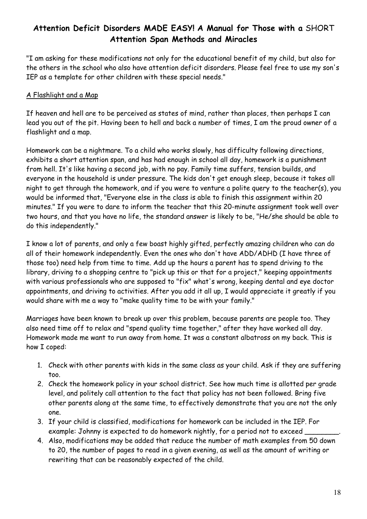"I am asking for these modifications not only for the educational benefit of my child, but also for the others in the school who also have attention deficit disorders. Please feel free to use my son's IEP as a template for other children with these special needs."

## A Flashlight and a Map

If heaven and hell are to be perceived as states of mind, rather than places, then perhaps I can lead you out of the pit. Having been to hell and back a number of times, I am the proud owner of a flashlight and a map.

Homework can be a nightmare. To a child who works slowly, has difficulty following directions, exhibits a short attention span, and has had enough in school all day, homework is a punishment from hell. It's like having a second job, with no pay. Family time suffers, tension builds, and everyone in the household is under pressure. The kids don't get enough sleep, because it takes all night to get through the homework, and if you were to venture a polite query to the teacher(s), you would be informed that, "Everyone else in the class is able to finish this assignment within 20 minutes." If you were to dare to inform the teacher that this 20-minute assignment took well over two hours, and that you have no life, the standard answer is likely to be, "He/she should be able to do this independently."

I know a lot of parents, and only a few boast highly gifted, perfectly amazing children who can do all of their homework independently. Even the ones who don't have ADD/ADHD (I have three of those too) need help from time to time. Add up the hours a parent has to spend driving to the library, driving to a shopping centre to "pick up this or that for a project," keeping appointments with various professionals who are supposed to "fix" what's wrong, keeping dental and eye doctor appointments, and driving to activities. After you add it all up, I would appreciate it greatly if you would share with me a way to "make quality time to be with your family."

Marriages have been known to break up over this problem, because parents are people too. They also need time off to relax and "spend quality time together," after they have worked all day. Homework made me want to run away from home. It was a constant albatross on my back. This is how I coped:

- 1. Check with other parents with kids in the same class as your child. Ask if they are suffering too.
- 2. Check the homework policy in your school district. See how much time is allotted per grade level, and politely call attention to the fact that policy has not been followed. Bring five other parents along at the same time, to effectively demonstrate that you are not the only one.
- 3. If your child is classified, modifications for homework can be included in the IEP. For example: Johnny is expected to do homework nightly, for a period not to exceed
- 4. Also, modifications may be added that reduce the number of math examples from 50 down to 20, the number of pages to read in a given evening, as well as the amount of writing or rewriting that can be reasonably expected of the child.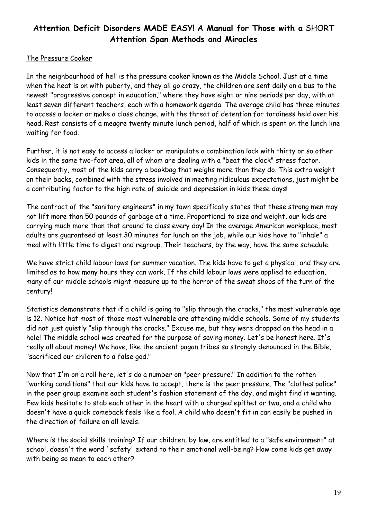### The Pressure Cooker

In the neighbourhood of hell is the pressure cooker known as the Middle School. Just at a time when the heat is on with puberty, and they all go crazy, the children are sent daily on a bus to the newest "progressive concept in education," where they have eight or nine periods per day, with at least seven different teachers, each with a homework agenda. The average child has three minutes to access a locker or make a class change, with the threat of detention for tardiness held over his head. Rest consists of a meagre twenty minute lunch period, half of which is spent on the lunch line waiting for food.

Further, it is not easy to access a locker or manipulate a combination lock with thirty or so other kids in the same two-foot area, all of whom are dealing with a "beat the clock" stress factor. Consequently, most of the kids carry a bookbag that weighs more than they do. This extra weight on their backs, combined with the stress involved in meeting ridiculous expectations, just might be a contributing factor to the high rate of suicide and depression in kids these days!

The contract of the "sanitary engineers" in my town specifically states that these strong men may not lift more than 50 pounds of garbage at a time. Proportional to size and weight, our kids are carrying much more than that around to class every day! In the average American workplace, most adults are guaranteed at least 30 minutes for lunch on the job, while our kids have to "inhale" a meal with little time to digest and regroup. Their teachers, by the way, have the same schedule.

We have strict child labour laws for summer vacation. The kids have to get a physical, and they are limited as to how many hours they can work. If the child labour laws were applied to education, many of our middle schools might measure up to the horror of the sweat shops of the turn of the century!

Statistics demonstrate that if a child is going to "slip through the cracks," the most vulnerable age is 12. Notice hat most of those most vulnerable are attending middle schools. Some of my students did not just quietly "slip through the cracks." Excuse me, but they were dropped on the head in a hole! The middle school was created for the purpose of saving money. Let's be honest here. It's really all about money! We have, like the ancient pagan tribes so strongly denounced in the Bible, "sacrificed our children to a false god."

Now that I'm on a roll here, let's do a number on "peer pressure." In addition to the rotten "working conditions" that our kids have to accept, there is the peer pressure. The "clothes police" in the peer group examine each student's fashion statement of the day, and might find it wanting. Few kids hesitate to stab each other in the heart with a charged epithet or two, and a child who doesn't have a quick comeback feels like a fool. A child who doesn't fit in can easily be pushed in the direction of failure on all levels.

Where is the social skills training? If our children, by law, are entitled to a "safe environment" at school, doesn't the word `safety' extend to their emotional well-being? How come kids get away with being so mean to each other?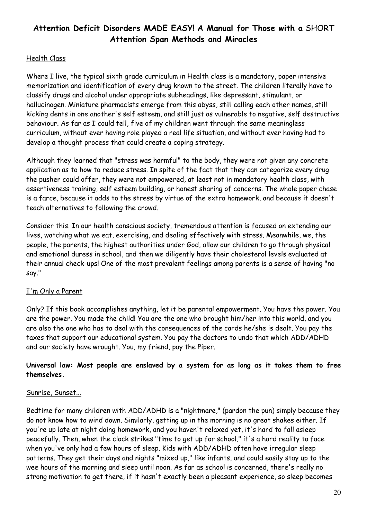## Health Class

Where I live, the typical sixth grade curriculum in Health class is a mandatory, paper intensive memorization and identification of every drug known to the street. The children literally have to classify drugs and alcohol under appropriate subheadings, like depressant, stimulant, or hallucinogen. Miniature pharmacists emerge from this abyss, still calling each other names, still kicking dents in one another's self esteem, and still just as vulnerable to negative, self destructive behaviour. As far as I could tell, five of my children went through the same meaningless curriculum, without ever having role played a real life situation, and without ever having had to develop a thought process that could create a coping strategy.

Although they learned that "stress was harmful" to the body, they were not given any concrete application as to how to reduce stress. In spite of the fact that they can categorize every drug the pusher could offer, they were not empowered, at least not in mandatory health class, with assertiveness training, self esteem building, or honest sharing of concerns. The whole paper chase is a farce, because it adds to the stress by virtue of the extra homework, and because it doesn't teach alternatives to following the crowd.

Consider this. In our health conscious society, tremendous attention is focused on extending our lives, watching what we eat, exercising, and dealing effectively with stress. Meanwhile, we, the people, the parents, the highest authorities under God, allow our children to go through physical and emotional duress in school, and then we diligently have their cholesterol levels evaluated at their annual check-ups! One of the most prevalent feelings among parents is a sense of having "no say."

## I'm Only a Parent

Only? If this book accomplishes anything, let it be parental empowerment. You have the power. You are the power. You made the child! You are the one who brought him/her into this world, and you are also the one who has to deal with the consequences of the cards he/she is dealt. You pay the taxes that support our educational system. You pay the doctors to undo that which ADD/ADHD and our society have wrought. You, my friend, pay the Piper.

## Universal law: Most people are enslaved by a system for as long as it takes them to free themselves.

## Sunrise, Sunset...

Bedtime for many children with ADD/ADHD is a "nightmare," (pardon the pun) simply because they do not know how to wind down. Similarly, getting up in the morning is no great shakes either. If you're up late at night doing homework, and you haven't relaxed yet, it's hard to fall asleep peacefully. Then, when the clock strikes "time to get up for school," it's a hard reality to face when you've only had a few hours of sleep. Kids with ADD/ADHD often have irregular sleep patterns. They get their days and nights "mixed up," like infants, and could easily stay up to the wee hours of the morning and sleep until noon. As far as school is concerned, there's really no strong motivation to get there, if it hasn't exactly been a pleasant experience, so sleep becomes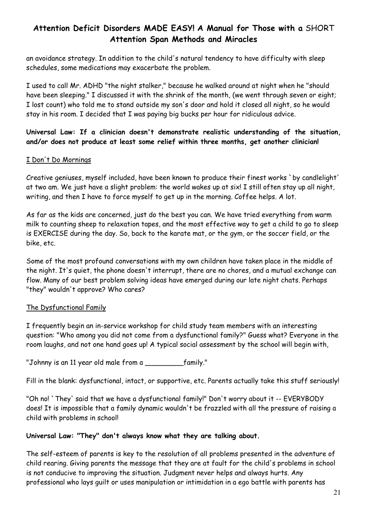an avoidance strategy. In addition to the child's natural tendency to have difficulty with sleep schedules, some medications may exacerbate the problem.

I used to call Mr. ADHD "the night stalker," because he walked around at night when he "should have been sleeping." I discussed it with the shrink of the month, (we went through seven or eight; I lost count) who told me to stand outside my son's door and hold it closed all night, so he would stay in his room. I decided that I was paying big bucks per hour for ridiculous advice.

Universal Law: If a clinician doesn't demonstrate realistic understanding of the situation, and/or does not produce at least some relief within three months, get another clinician!

#### I Don't Do Mornings

Creative geniuses, myself included, have been known to produce their finest works `by candlelight' at two am. We just have a slight problem: the world wakes up at six! I still often stay up all night, writing, and then I have to force myself to get up in the morning. Coffee helps. A lot.

As far as the kids are concerned, just do the best you can. We have tried everything from warm milk to counting sheep to relaxation tapes, and the most effective way to get a child to go to sleep is EXERCISE during the day. So, back to the karate mat, or the gym, or the soccer field, or the bike, etc.

Some of the most profound conversations with my own children have taken place in the middle of the night. It's quiet, the phone doesn't interrupt, there are no chores, and a mutual exchange can flow. Many of our best problem solving ideas have emerged during our late night chats. Perhaps "they" wouldn't approve? Who cares?

## The Dysfunctional Family

I frequently begin an in-service workshop for child study team members with an interesting question: "Who among you did not come from a dysfunctional family?" Guess what? Everyone in the room laughs, and not one hand goes up! A typical social assessment by the school will begin with,

"Johnny is an 11 year old male from a \_\_\_\_\_\_\_\_\_family."

Fill in the blank: dysfunctional, intact, or supportive, etc. Parents actually take this stuff seriously!

"Oh no! `They' said that we have a dysfunctional family!" Don't worry about it -- EVERYBODY does! It is impossible that a family dynamic wouldn't be frazzled with all the pressure of raising a child with problems in school!

#### Universal Law: "They" don't always know what they are talking about.

The self-esteem of parents is key to the resolution of all problems presented in the adventure of child rearing. Giving parents the message that they are at fault for the child's problems in school is not conducive to improving the situation. Judgment never helps and always hurts. Any professional who lays guilt or uses manipulation or intimidation in a ego battle with parents has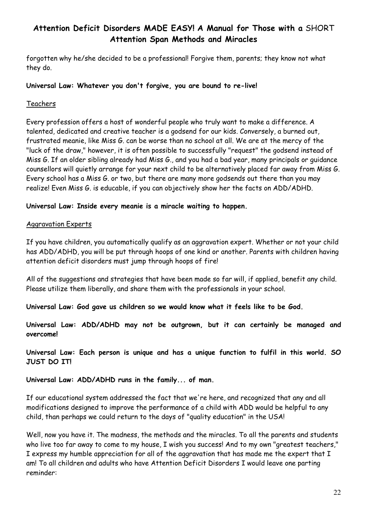forgotten why he/she decided to be a professional! Forgive them, parents; they know not what they do.

#### Universal Law: Whatever you don't forgive, you are bound to re-live!

### Teachers

Every profession offers a host of wonderful people who truly want to make a difference. A talented, dedicated and creative teacher is a godsend for our kids. Conversely, a burned out, frustrated meanie, like Miss G. can be worse than no school at all. We are at the mercy of the "luck of the draw," however, it is often possible to successfully "request" the godsend instead of Miss G. If an older sibling already had Miss G., and you had a bad year, many principals or guidance counsellors will quietly arrange for your next child to be alternatively placed far away from Miss G. Every school has a Miss G. or two, but there are many more godsends out there than you may realize! Even Miss G. is educable, if you can objectively show her the facts on ADD/ADHD.

### Universal Law: Inside every meanie is a miracle waiting to happen.

### Aggravation Experts

If you have children, you automatically qualify as an aggravation expert. Whether or not your child has ADD/ADHD, you will be put through hoops of one kind or another. Parents with children having attention deficit disorders must jump through hoops of fire!

All of the suggestions and strategies that have been made so far will, if applied, benefit any child. Please utilize them liberally, and share them with the professionals in your school.

Universal Law: God gave us children so we would know what it feels like to be God.

Universal Law: ADD/ADHD may not be outgrown, but it can certainly be managed and overcome!

Universal Law: Each person is unique and has a unique function to fulfil in this world. SO JUST DO IT!

Universal Law: ADD/ADHD runs in the family... of man.

If our educational system addressed the fact that we're here, and recognized that any and all modifications designed to improve the performance of a child with ADD would be helpful to any child, than perhaps we could return to the days of "quality education" in the USA!

Well, now you have it. The madness, the methods and the miracles. To all the parents and students who live too far away to come to my house, I wish you success! And to my own "greatest teachers," I express my humble appreciation for all of the aggravation that has made me the expert that I am! To all children and adults who have Attention Deficit Disorders I would leave one parting reminder: